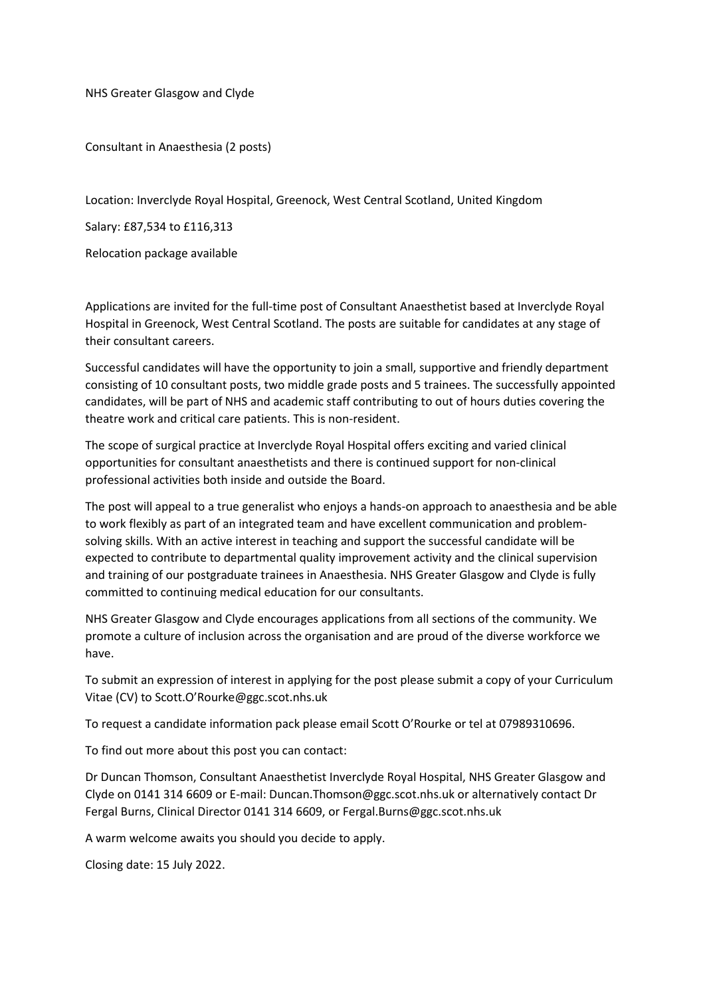NHS Greater Glasgow and Clyde

Consultant in Anaesthesia (2 posts)

Location: Inverclyde Royal Hospital, Greenock, West Central Scotland, United Kingdom

Salary: £87,534 to £116,313

Relocation package available

Applications are invited for the full-time post of Consultant Anaesthetist based at Inverclyde Royal Hospital in Greenock, West Central Scotland. The posts are suitable for candidates at any stage of their consultant careers.

Successful candidates will have the opportunity to join a small, supportive and friendly department consisting of 10 consultant posts, two middle grade posts and 5 trainees. The successfully appointed candidates, will be part of NHS and academic staff contributing to out of hours duties covering the theatre work and critical care patients. This is non-resident.

The scope of surgical practice at Inverclyde Royal Hospital offers exciting and varied clinical opportunities for consultant anaesthetists and there is continued support for non-clinical professional activities both inside and outside the Board.

The post will appeal to a true generalist who enjoys a hands-on approach to anaesthesia and be able to work flexibly as part of an integrated team and have excellent communication and problemsolving skills. With an active interest in teaching and support the successful candidate will be expected to contribute to departmental quality improvement activity and the clinical supervision and training of our postgraduate trainees in Anaesthesia. NHS Greater Glasgow and Clyde is fully committed to continuing medical education for our consultants.

NHS Greater Glasgow and Clyde encourages applications from all sections of the community. We promote a culture of inclusion across the organisation and are proud of the diverse workforce we have.

To submit an expression of interest in applying for the post please submit a copy of your Curriculum Vitae (CV) to Scott.O'Rourke@ggc.scot.nhs.uk

To request a candidate information pack please email Scott O'Rourke or tel at 07989310696.

To find out more about this post you can contact:

Dr Duncan Thomson, Consultant Anaesthetist Inverclyde Royal Hospital, NHS Greater Glasgow and Clyde on 0141 314 6609 or E-mail: Duncan.Thomson@ggc.scot.nhs.uk or alternatively contact Dr Fergal Burns, Clinical Director 0141 314 6609, or Fergal.Burns@ggc.scot.nhs.uk

A warm welcome awaits you should you decide to apply.

Closing date: 15 July 2022.